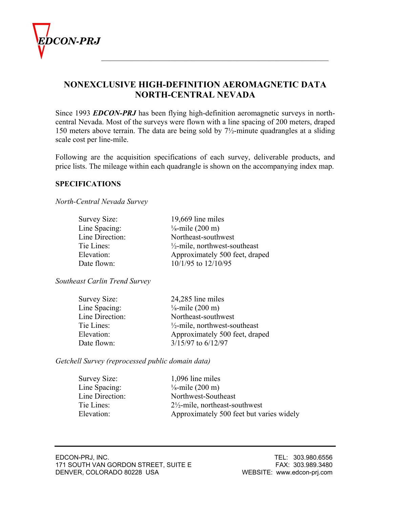

# **NONEXCLUSIVE HIGH-DEFINITION AEROMAGNETIC DATA NORTH-CENTRAL NEVADA**

Since 1993 *EDCON-PRJ* has been flying high-definition aeromagnetic surveys in northcentral Nevada. Most of the surveys were flown with a line spacing of 200 meters, draped 150 meters above terrain. The data are being sold by 7½-minute quadrangles at a sliding scale cost per line-mile.

Following are the acquisition specifications of each survey, deliverable products, and price lists. The mileage within each quadrangle is shown on the accompanying index map.

#### **SPECIFICATIONS**

*North-Central Nevada Survey*

| Survey Size:    | 19,669 line miles                        |
|-----------------|------------------------------------------|
| Line Spacing:   | $\frac{1}{8}$ -mile (200 m)              |
| Line Direction: | Northeast-southwest                      |
| Tie Lines:      | $\frac{1}{2}$ -mile, northwest-southeast |
| Elevation:      | Approximately 500 feet, draped           |
| Date flown:     | 10/1/95 to 12/10/95                      |

*Southeast Carlin Trend Survey*

| Survey Size:    | 24,285 line miles                        |
|-----------------|------------------------------------------|
| Line Spacing:   | $\frac{1}{8}$ -mile (200 m)              |
| Line Direction: | Northeast-southwest                      |
| Tie Lines:      | $\frac{1}{2}$ -mile, northwest-southeast |
| Elevation:      | Approximately 500 feet, draped           |
| Date flown:     | 3/15/97 to 6/12/97                       |

*Getchell Survey (reprocessed public domain data)*

| Survey Size:    | 1,096 line miles                          |
|-----------------|-------------------------------------------|
| Line Spacing:   | $\frac{1}{8}$ -mile (200 m)               |
| Line Direction: | Northwest-Southeast                       |
| Tie Lines:      | $2\frac{1}{2}$ -mile, northeast-southwest |
| Elevation:      | Approximately 500 feet but varies widely  |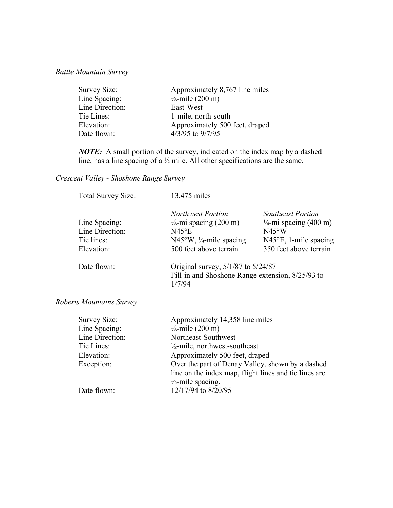## *Battle Mountain Survey*

| Survey Size:    | Approximately 8,767 line miles |
|-----------------|--------------------------------|
| Line Spacing:   | $\frac{1}{8}$ -mile (200 m)    |
| Line Direction: | East-West                      |
| Tie Lines:      | 1-mile, north-south            |
| Elevation:      | Approximately 500 feet, draped |
| Date flown:     | 4/3/95 to 9/7/95               |

*NOTE:* A small portion of the survey, indicated on the index map by a dashed line, has a line spacing of a ½ mile. All other specifications are the same.

## *Crescent Valley - Shoshone Range Survey*

| <b>Total Survey Size:</b> | 13,475 miles                                                                                     |                                                               |
|---------------------------|--------------------------------------------------------------------------------------------------|---------------------------------------------------------------|
| Line Spacing:             | <b>Northwest Portion</b><br>$\frac{1}{8}$ -mi spacing (200 m)                                    | <b>Southeast Portion</b><br>$\frac{1}{4}$ -mi spacing (400 m) |
| Line Direction:           | $N45$ °E                                                                                         | N45°W                                                         |
| Tie lines:                | $N45^{\circ}W$ , ¼-mile spacing                                                                  | $N45^{\circ}E$ , 1-mile spacing                               |
| Elevation:                | 500 feet above terrain                                                                           | 350 feet above terrain                                        |
| Date flown:               | Original survey, 5/1/87 to 5/24/87<br>Fill-in and Shoshone Range extension, 8/25/93 to<br>1/7/94 |                                                               |

### *Roberts Mountains Survey*

| Survey Size:    | Approximately 14,358 line miles                       |
|-----------------|-------------------------------------------------------|
| Line Spacing:   | $\frac{1}{8}$ -mile (200 m)                           |
| Line Direction: | Northeast-Southwest                                   |
| Tie Lines:      | $\frac{1}{2}$ -mile, northwest-southeast              |
| Elevation:      | Approximately 500 feet, draped                        |
| Exception:      | Over the part of Denay Valley, shown by a dashed      |
|                 | line on the index map, flight lines and tie lines are |
|                 | $\frac{1}{2}$ -mile spacing.                          |
| Date flown:     | 12/17/94 to 8/20/95                                   |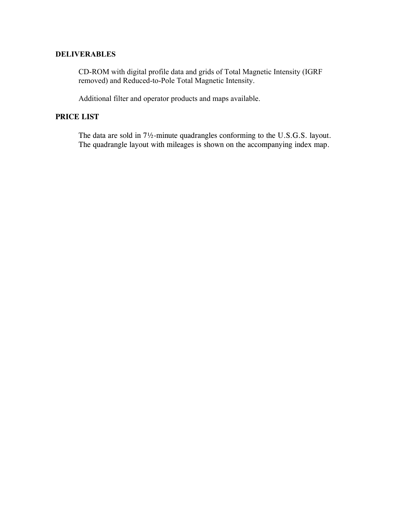### **DELIVERABLES**

CD-ROM with digital profile data and grids of Total Magnetic Intensity (IGRF removed) and Reduced-to-Pole Total Magnetic Intensity.

Additional filter and operator products and maps available.

### **PRICE LIST**

 The data are sold in 7½-minute quadrangles conforming to the U.S.G.S. layout. The quadrangle layout with mileages is shown on the accompanying index map.